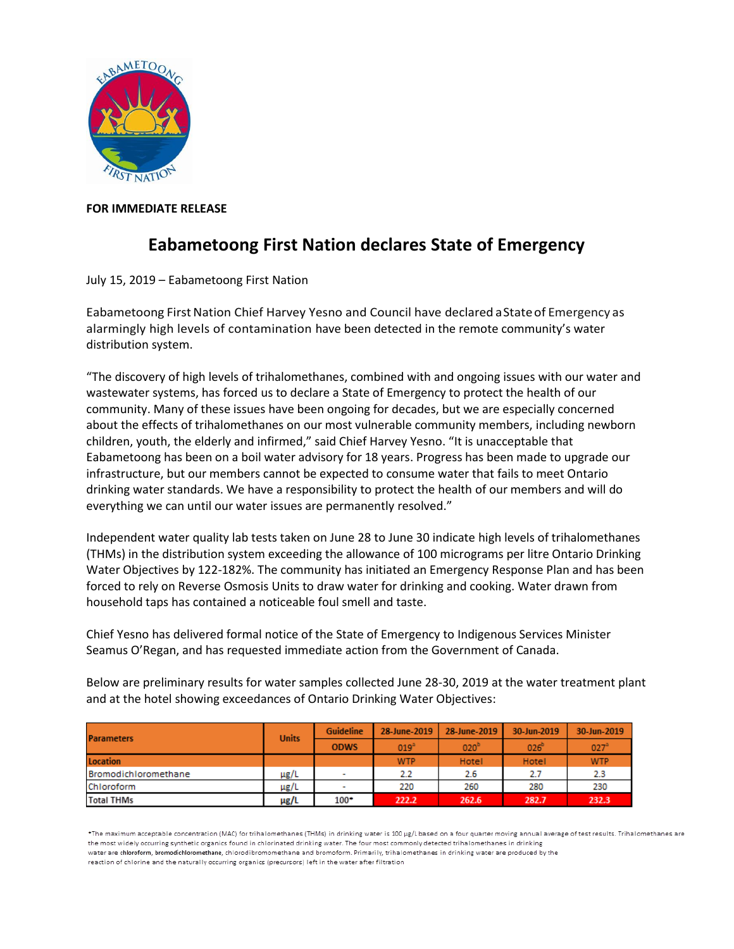

## **FOR IMMEDIATE RELEASE**

## **Eabametoong First Nation declares State of Emergency**

July 15, 2019 – Eabametoong First Nation

Eabametoong FirstNation Chief Harvey Yesno and Council have declared aStateof Emergency as alarmingly high levels of contamination have been detected in the remote community's water distribution system.

"The discovery of high levels of trihalomethanes, combined with and ongoing issues with our water and wastewater systems, has forced us to declare a State of Emergency to protect the health of our community. Many of these issues have been ongoing for decades, but we are especially concerned about the effects of trihalomethanes on our most vulnerable community members, including newborn children, youth, the elderly and infirmed," said Chief Harvey Yesno. "It is unacceptable that Eabametoong has been on a boil water advisory for 18 years. Progress has been made to upgrade our infrastructure, but our members cannot be expected to consume water that fails to meet Ontario drinking water standards. We have a responsibility to protect the health of our members and will do everything we can until our water issues are permanently resolved."

Independent water quality lab tests taken on June 28 to June 30 indicate high levels of trihalomethanes (THMs) in the distribution system exceeding the allowance of 100 micrograms per litre Ontario Drinking Water Objectives by 122-182%. The community has initiated an Emergency Response Plan and has been forced to rely on Reverse Osmosis Units to draw water for drinking and cooking. Water drawn from household taps has contained a noticeable foul smell and taste.

Chief Yesno has delivered formal notice of the State of Emergency to Indigenous Services Minister Seamus O'Regan, and has requested immediate action from the Government of Canada.

Below are preliminary results for water samples collected June 28-30, 2019 at the water treatment plant and at the hotel showing exceedances of Ontario Drinking Water Objectives:

| <b>Parameters</b>    | <b>Units</b> | Guideline                | 28-June-2019     | 28-June-2019     | 30-Jun-2019      | 30-Jun-2019      |
|----------------------|--------------|--------------------------|------------------|------------------|------------------|------------------|
|                      |              | <b>ODWS</b>              | 019 <sup>3</sup> | 020 <sup>b</sup> | 026 <sup>b</sup> | 027 <sup>3</sup> |
| Location             |              |                          | <b>WTP</b>       | Hotel            | Hotel            | <b>WTP</b>       |
| Bromodichloromethane | $\mu$ g/L    | $\overline{\phantom{a}}$ | 2.2              | 2.6              | 2.7              | 2.3              |
| Chloroform           | $\mu$ g/L    | $\overline{\phantom{a}}$ | 220              | 260              | 280              | 230              |
| <b>Total THMs</b>    | µg/L         | $100*$                   | 222.2            | 262.6            | 282.7            | 232.3            |

\*The maximum acceptable concentration (MAC) for trihalomethanes (THMs) in drinking water is 100 ug/L based on a four quarter moving annual average of test results. Trihalomethanes are the most widely occurring synthetic organics found in chlorinated drinking water. The four most commonly detected trihalomethanes in drinking water are chloroform, bromodichloromethane, chlorodibromomethane and bromoform, Primarily, trihalomethanes in drinking water are produced by the reaction of chlorine and the naturally occurring organics (precursors) left in the water after filtration